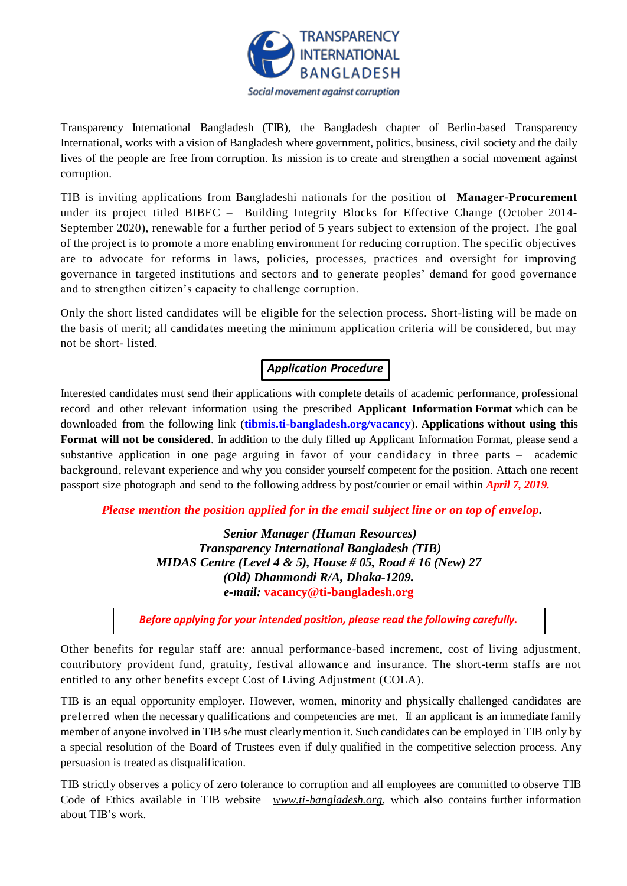

Transparency International Bangladesh (TIB), the Bangladesh chapter of Berlin-based Transparency International, works with a vision of Bangladesh where government, politics, business, civil society and the daily lives of the people are free from corruption. Its mission is to create and strengthen a social movement against corruption.

TIB is inviting applications from Bangladeshi nationals for the position of **Manager-Procurement** under its project titled BIBEC – Building Integrity Blocks for Effective Change (October 2014- September 2020), renewable for a further period of 5 years subject to extension of the project. The goal of the project is to promote a more enabling environment for reducing corruption. The specific objectives are to advocate for reforms in laws, policies, processes, practices and oversight for improving governance in targeted institutions and sectors and to generate peoples' demand for good governance and to strengthen citizen's capacity to challenge corruption.

Only the short listed candidates will be eligible for the selection process. Short-listing will be made on the basis of merit; all candidates meeting the minimum application criteria will be considered, but may not be short- listed.

# *Application Procedure*

Interested candidates must send their applications with complete details of academic performance, professional record and other relevant information using the prescribed **Applicant Information Format** which can be downloaded from the following link (**[tibmis.ti-bangladesh.org/vacancy](http://www.ti-bangladesh.org/vacancy)**). **Applications without using this Format will not be considered**. In addition to the duly filled up Applicant Information Format, please send a substantive application in one page arguing in favor of your candidacy in three parts – academic background, relevant experience and why you consider yourself competent for the position. Attach one recent passport size photograph and send to the following address by post/courier or email within *April 7, 2019.*

*Please mention the position applied for in the email subject line or on top of envelop***.**

*Senior Manager (Human Resources) Transparency International Bangladesh (TIB) MIDAS Centre (Level 4 & 5), House # 05, Road # 16 (New) 27 (Old) Dhanmondi R/A, Dhaka-1209. e-mail:* **vacancy@ti-bangladesh.org**

*Before applying for your intended position, please read the following carefully.*

Other benefits for regular staff are: annual performance-based increment, cost of living adjustment, contributory provident fund, gratuity, festival allowance and insurance. The short-term staffs are not entitled to any other benefits except Cost of Living Adjustment (COLA).

TIB is an equal opportunity employer. However, women, minority and physically challenged candidates are preferred when the necessary qualifications and competencies are met. If an applicant is an immediate family member of anyone involved in TIB s/he must clearlymention it. Such candidates can be employed in TIB only by a special resolution of the Board of Trustees even if duly qualified in the competitive selection process. Any persuasion is treated as disqualification.

TIB strictly observes a policy of zero tolerance to corruption and all employees are committed to observe TIB Code of Ethics available in TIB website *[www.ti-bangladesh.org](http://www.ti-bangladesh.org/)*, which also contains further information about TIB's work.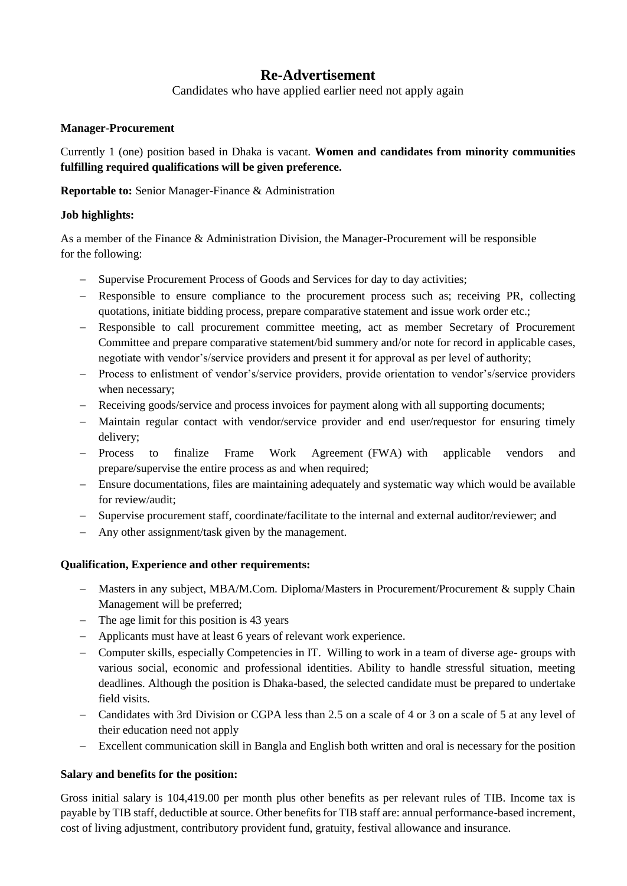## **Re-Advertisement**

Candidates who have applied earlier need not apply again

#### **Manager-Procurement**

Currently 1 (one) position based in Dhaka is vacant. **Women and candidates from minority communities fulfilling required qualifications will be given preference.**

**Reportable to:** Senior Manager-Finance & Administration

### **Job highlights:**

As a member of the Finance & Administration Division, the Manager-Procurement will be responsible for the following:

- Supervise Procurement Process of Goods and Services for day to day activities;
- Responsible to ensure compliance to the procurement process such as; receiving PR, collecting quotations, initiate bidding process, prepare comparative statement and issue work order etc.;
- Responsible to call procurement committee meeting, act as member Secretary of Procurement Committee and prepare comparative statement/bid summery and/or note for record in applicable cases, negotiate with vendor's/service providers and present it for approval as per level of authority;
- Process to enlistment of vendor's/service providers, provide orientation to vendor's/service providers when necessary;
- Receiving goods/service and process invoices for payment along with all supporting documents;
- Maintain regular contact with vendor/service provider and end user/requestor for ensuring timely delivery;
- Process to finalize Frame Work Agreement (FWA) with applicable vendors and prepare/supervise the entire process as and when required;
- Ensure documentations, files are maintaining adequately and systematic way which would be available for review/audit;
- Supervise procurement staff, coordinate/facilitate to the internal and external auditor/reviewer; and
- Any other assignment/task given by the management.

#### **Qualification, Experience and other requirements:**

- Masters in any subject, MBA/M.Com. Diploma/Masters in Procurement/Procurement & supply Chain Management will be preferred;
- The age limit for this position is 43 years
- Applicants must have at least 6 years of relevant work experience.
- Computer skills, especially Competencies in IT. Willing to work in a team of diverse age- groups with various social, economic and professional identities. Ability to handle stressful situation, meeting deadlines. Although the position is Dhaka-based, the selected candidate must be prepared to undertake field visits.
- Candidates with 3rd Division or CGPA less than 2.5 on a scale of 4 or 3 on a scale of 5 at any level of their education need not apply
- Excellent communication skill in Bangla and English both written and oral is necessary for the position

#### **Salary and benefits for the position:**

Gross initial salary is 104,419.00 per month plus other benefits as per relevant rules of TIB. Income tax is payable by TIB staff, deductible at source. Other benefits for TIB staff are: annual performance-based increment, cost of living adjustment, contributory provident fund, gratuity, festival allowance and insurance.